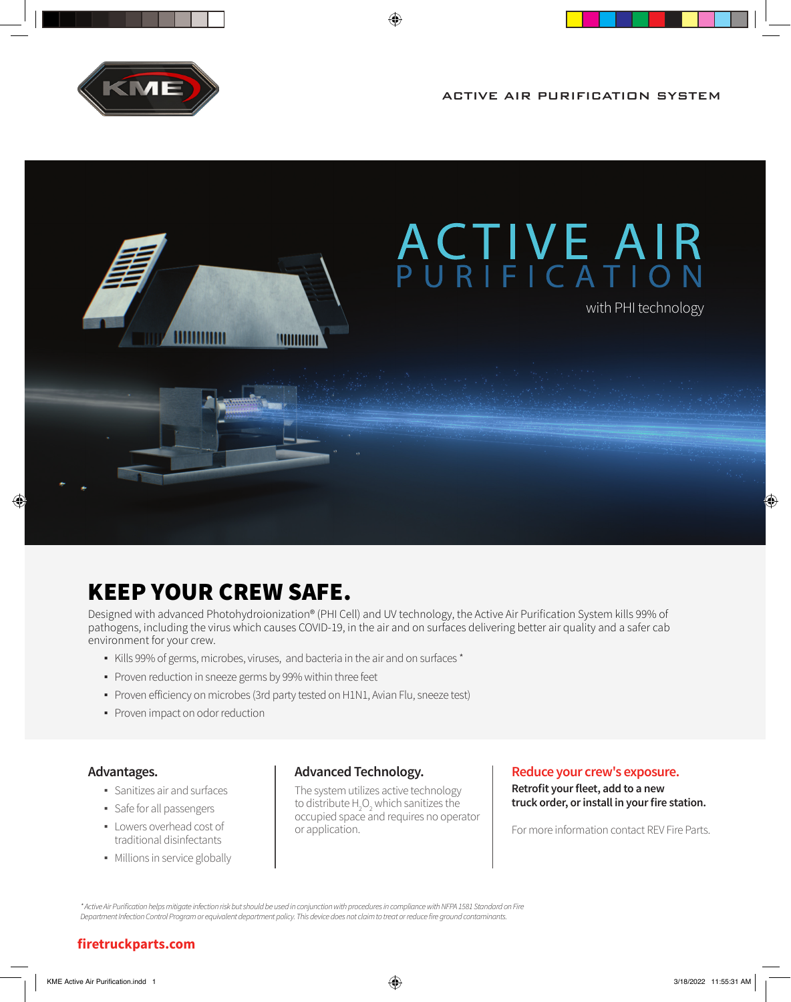

ACTIVE AIR PURIFICATION SYSTEM



⊕

# KEEP YOUR CREW SAFE.

Designed with advanced Photohydroionization® (PHI Cell) and UV technology, the Active Air Purification System kills 99% of pathogens, including the virus which causes COVID-19, in the air and on surfaces delivering better air quality and a safer cab environment for your crew.

- Kills 99% of germs, microbes, viruses, and bacteria in the air and on surfaces \*
- Proven reduction in sneeze germs by 99% within three feet
- Proven efficiency on microbes (3rd party tested on H1N1, Avian Flu, sneeze test)
- Proven impact on odor reduction

### **Advantages.**

- Sanitizes air and surfaces
- **•** Safe for all passengers
- Lowers overhead cost of traditional disinfectants
- Millions in service globally

### **Advanced Technology.**

The system utilizes active technology to distribute  $H_2O_2$  which sanitizes the occupied space and requires no operator or application.

#### **Reduce your crew's exposure.**

**Retrofit your fleet, add to a new truck order, or install in your fire station.**

For more information contact REV Fire Parts.

\* Active Air Purification helps mitigate infection risk but should be used in conjunction with procedures in compliance with NFPA 1581 Standard on Fire Department Infection Control Program or equivalent department policy. This device does not claim to treat or reduce fire ground contaminants.

### **firetruckparts.com**